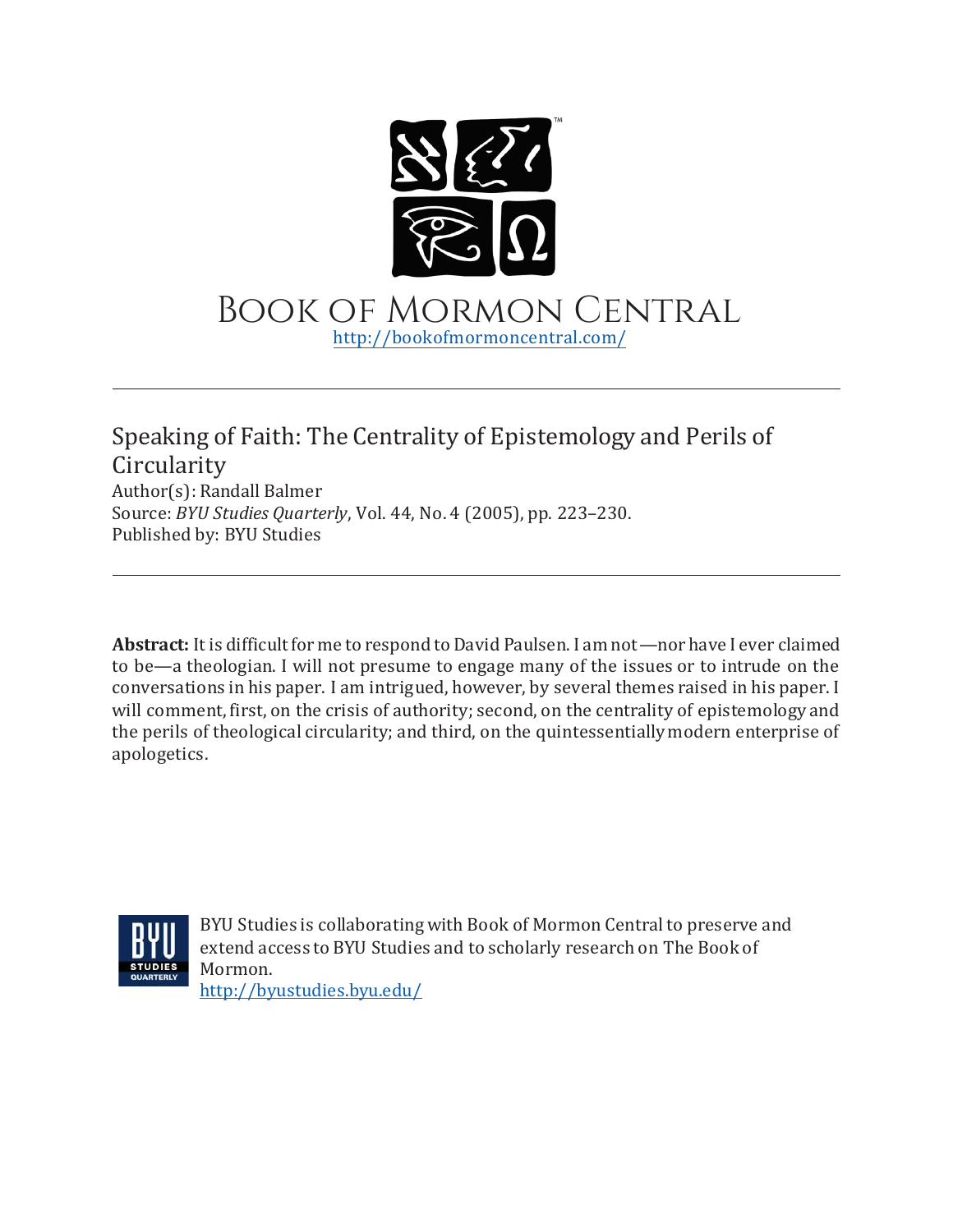

## Speaking of Faith: The Centrality of Epistemology and Perils of **Circularity**

 Source: *BYU Studies Quarterly*, Vol. 44, No. 4 (2005), pp. 223–230. Published by: BYU Studies Author(s): Randall Balmer

 **Abstract:** It is difficult for me to respond to David Paulsen. I am not—nor have I ever claimed to be—a theologian. I will not presume to engage many of the issues or to intrude on the conversations in his paper. I am intrigued, however, by several themes raised in his paper. I will comment, first, on the crisis of authority; second, on the centrality of epistemology and the perils of theological circularity; and third, on the quintessentially modern enterprise of apologetics.



 BYU Studies is collaborating with Book of Mormon Central to preserve and extend access to BYU Studies and to scholarly research on The Book of Mormon. <http://byustudies.byu.edu/>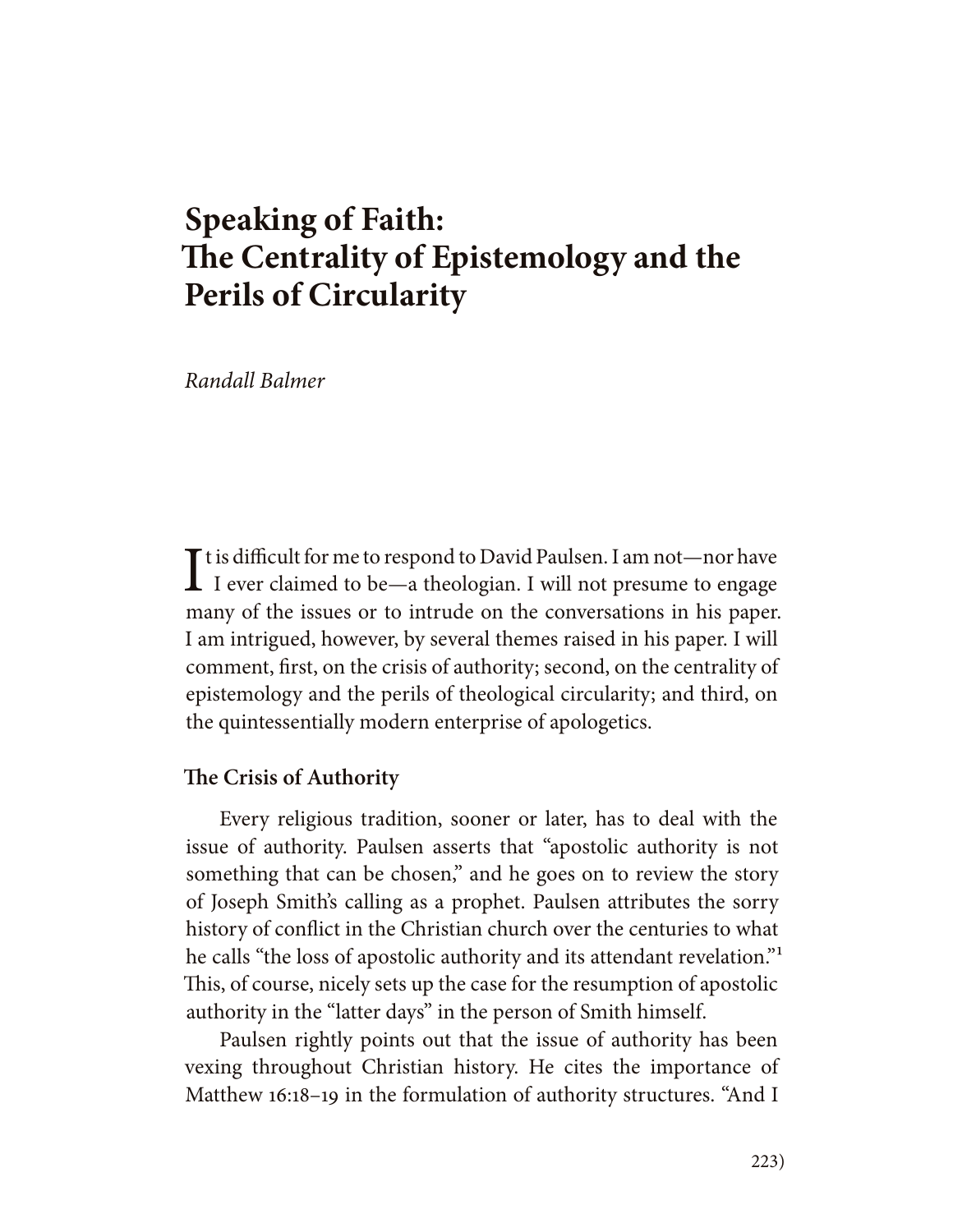# **Speaking of Faith:** The Centrality of Epistemology and the **Perils of Circularity**

Randall Balmer

 $\blacksquare$  t is difficult for me to respond to David Paulsen. I am not—nor have I I ever claimed to be—a theologian. I will not presume to engage many of the issues or to intrude on the conversations in his paper. I am intrigued, however, by several themes raised in his paper. I will comment, first, on the crisis of authority; second, on the centrality of epistemology and the perils of theological circularity; and third, on the quintessentially modern enterprise of apologetics.

### The Crisis of Authority

Every religious tradition, sooner or later, has to deal with the issue of authority. Paulsen asserts that "apostolic authority is not something that can be chosen," and he goes on to review the story of Joseph Smith's calling as a prophet. Paulsen attributes the sorry history of conflict in the Christian church over the centuries to what he calls "the loss of apostolic authority and its attendant revelation." This, of course, nicely sets up the case for the resumption of apostolic authority in the "latter days" in the person of Smith himself.

Paulsen rightly points out that the issue of authority has been vexing throughout Christian history. He cites the importance of Matthew 16:18–19 in the formulation of authority structures. "And I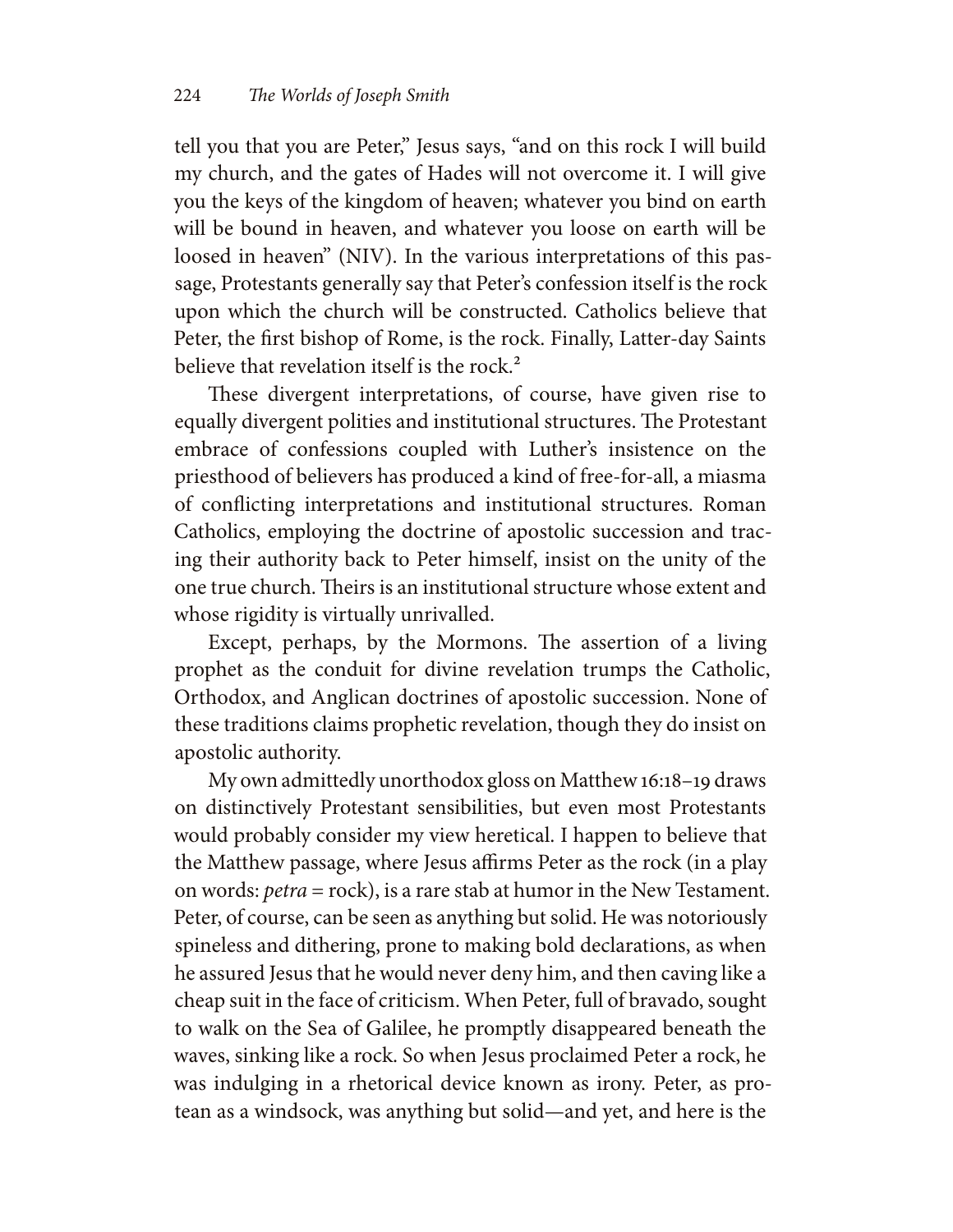tell you that you are Peter," Jesus says, "and on this rock I will build my church, and the gates of Hades will not overcome it. I will give you the keys of the kingdom of heaven; whatever you bind on earth will be bound in heaven, and whatever you loose on earth will be loosed in heaven" (NIV). In the various interpretations of this passage, Protestants generally say that Peter's confession itself is the rock upon which the church will be constructed. Catholics believe that Peter, the first bishop of Rome, is the rock. Finally, Latter-day Saints believe that revelation itself is the rock.<sup>2</sup>

These divergent interpretations, of course, have given rise to equally divergent polities and institutional structures. The Protestant embrace of confessions coupled with Luther's insistence on the priesthood of believers has produced a kind of free-for-all, a miasma of conflicting interpretations and institutional structures. Roman Catholics, employing the doctrine of apostolic succession and tracing their authority back to Peter himself, insist on the unity of the one true church. Theirs is an institutional structure whose extent and whose rigidity is virtually unrivalled.

Except, perhaps, by the Mormons. The assertion of a living prophet as the conduit for divine revelation trumps the Catholic, Orthodox, and Anglican doctrines of apostolic succession. None of these traditions claims prophetic revelation, though they do insist on apostolic authority.

My own admittedly unorthodox gloss on Matthew 16:18-19 draws on distinctively Protestant sensibilities, but even most Protestants would probably consider my view heretical. I happen to believe that the Matthew passage, where Jesus affirms Peter as the rock (in a play on words: *petra* = rock), is a rare stab at humor in the New Testament. Peter, of course, can be seen as anything but solid. He was notoriously spineless and dithering, prone to making bold declarations, as when he assured Jesus that he would never deny him, and then caving like a cheap suit in the face of criticism. When Peter, full of bravado, sought to walk on the Sea of Galilee, he promptly disappeared beneath the waves, sinking like a rock. So when Jesus proclaimed Peter a rock, he was indulging in a rhetorical device known as irony. Peter, as protean as a windsock, was anything but solid—and yet, and here is the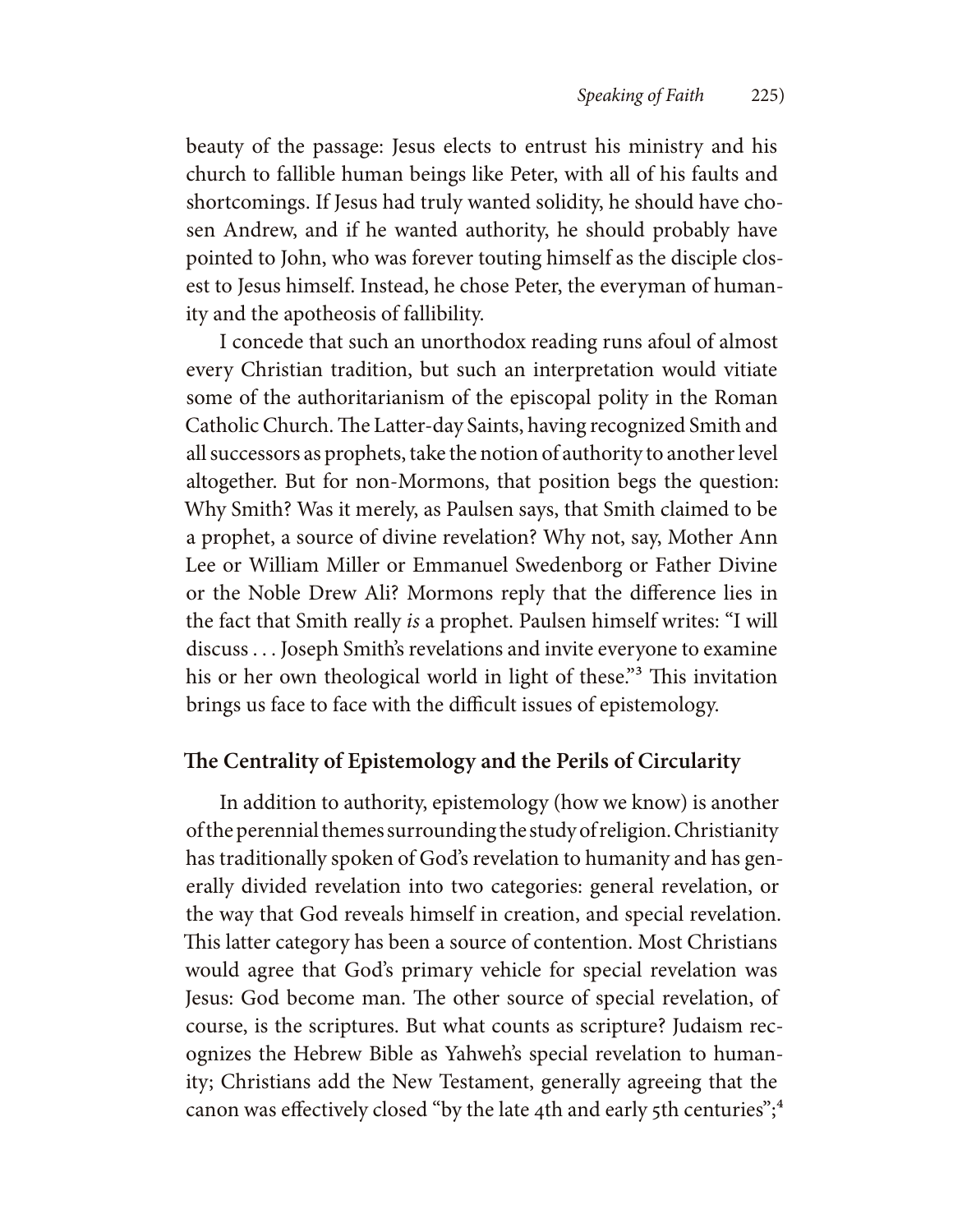beauty of the passage: Jesus elects to entrust his ministry and his church to fallible human beings like Peter, with all of his faults and shortcomings. If Jesus had truly wanted solidity, he should have chosen Andrew, and if he wanted authority, he should probably have pointed to John, who was forever touting himself as the disciple closest to Jesus himself. Instead, he chose Peter, the everyman of humanity and the apotheosis of fallibility.

I concede that such an unorthodox reading runs afoul of almost every Christian tradition, but such an interpretation would vitiate some of the authoritarianism of the episcopal polity in the Roman Catholic Church. The Latter-day Saints, having recognized Smith and all successors as prophets, take the notion of authority to another level altogether. But for non-Mormons, that position begs the question: Why Smith? Was it merely, as Paulsen says, that Smith claimed to be a prophet, a source of divine revelation? Why not, say, Mother Ann Lee or William Miller or Emmanuel Swedenborg or Father Divine or the Noble Drew Ali? Mormons reply that the difference lies in the fact that Smith really is a prophet. Paulsen himself writes: "I will discuss... Joseph Smith's revelations and invite everyone to examine his or her own theological world in light of these."<sup>3</sup> This invitation brings us face to face with the difficult issues of epistemology.

### The Centrality of Epistemology and the Perils of Circularity

In addition to authority, epistemology (how we know) is another of the perennial themes surrounding the study of religion. Christianity has traditionally spoken of God's revelation to humanity and has generally divided revelation into two categories: general revelation, or the way that God reveals himself in creation, and special revelation. This latter category has been a source of contention. Most Christians would agree that God's primary vehicle for special revelation was Jesus: God become man. The other source of special revelation, of course, is the scriptures. But what counts as scripture? Judaism recognizes the Hebrew Bible as Yahweh's special revelation to humanity; Christians add the New Testament, generally agreeing that the canon was effectively closed "by the late 4th and early 5th centuries"; $\frac{4}{3}$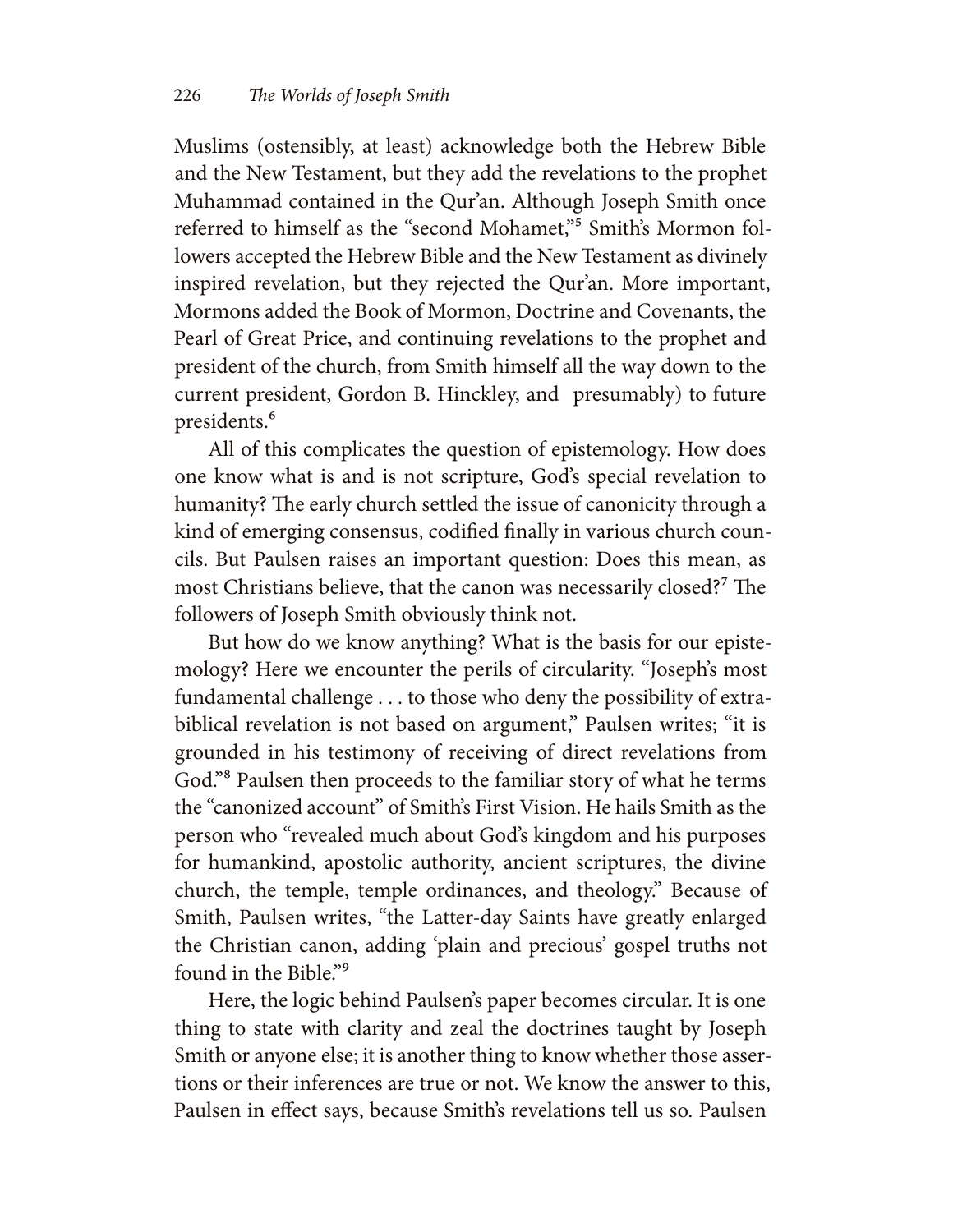Muslims (ostensibly, at least) acknowledge both the Hebrew Bible and the New Testament, but they add the revelations to the prophet Muhammad contained in the Qur'an. Although Joseph Smith once referred to himself as the "second Mohamet,"<sup>5</sup> Smith's Mormon followers accepted the Hebrew Bible and the New Testament as divinely inspired revelation, but they rejected the Qur'an. More important, Mormons added the Book of Mormon, Doctrine and Covenants, the Pearl of Great Price, and continuing revelations to the prophet and president of the church, from Smith himself all the way down to the current president, Gordon B. Hinckley, and presumably) to future presidents.<sup>6</sup>

All of this complicates the question of epistemology. How does one know what is and is not scripture, God's special revelation to humanity? The early church settled the issue of canonicity through a kind of emerging consensus, codified finally in various church councils. But Paulsen raises an important question: Does this mean, as most Christians believe, that the canon was necessarily closed? The followers of Joseph Smith obviously think not.

But how do we know anything? What is the basis for our epistemology? Here we encounter the perils of circularity. "Joseph's most fundamental challenge . . . to those who deny the possibility of extrabiblical revelation is not based on argument," Paulsen writes; "it is grounded in his testimony of receiving of direct revelations from God."<sup>8</sup> Paulsen then proceeds to the familiar story of what he terms the "canonized account" of Smith's First Vision. He hails Smith as the person who "revealed much about God's kingdom and his purposes for humankind, apostolic authority, ancient scriptures, the divine church, the temple, temple ordinances, and theology." Because of Smith, Paulsen writes, "the Latter-day Saints have greatly enlarged the Christian canon, adding 'plain and precious' gospel truths not found in the Bible."<sup>9</sup>

Here, the logic behind Paulsen's paper becomes circular. It is one thing to state with clarity and zeal the doctrines taught by Joseph Smith or anyone else; it is another thing to know whether those assertions or their inferences are true or not. We know the answer to this, Paulsen in effect says, because Smith's revelations tell us so. Paulsen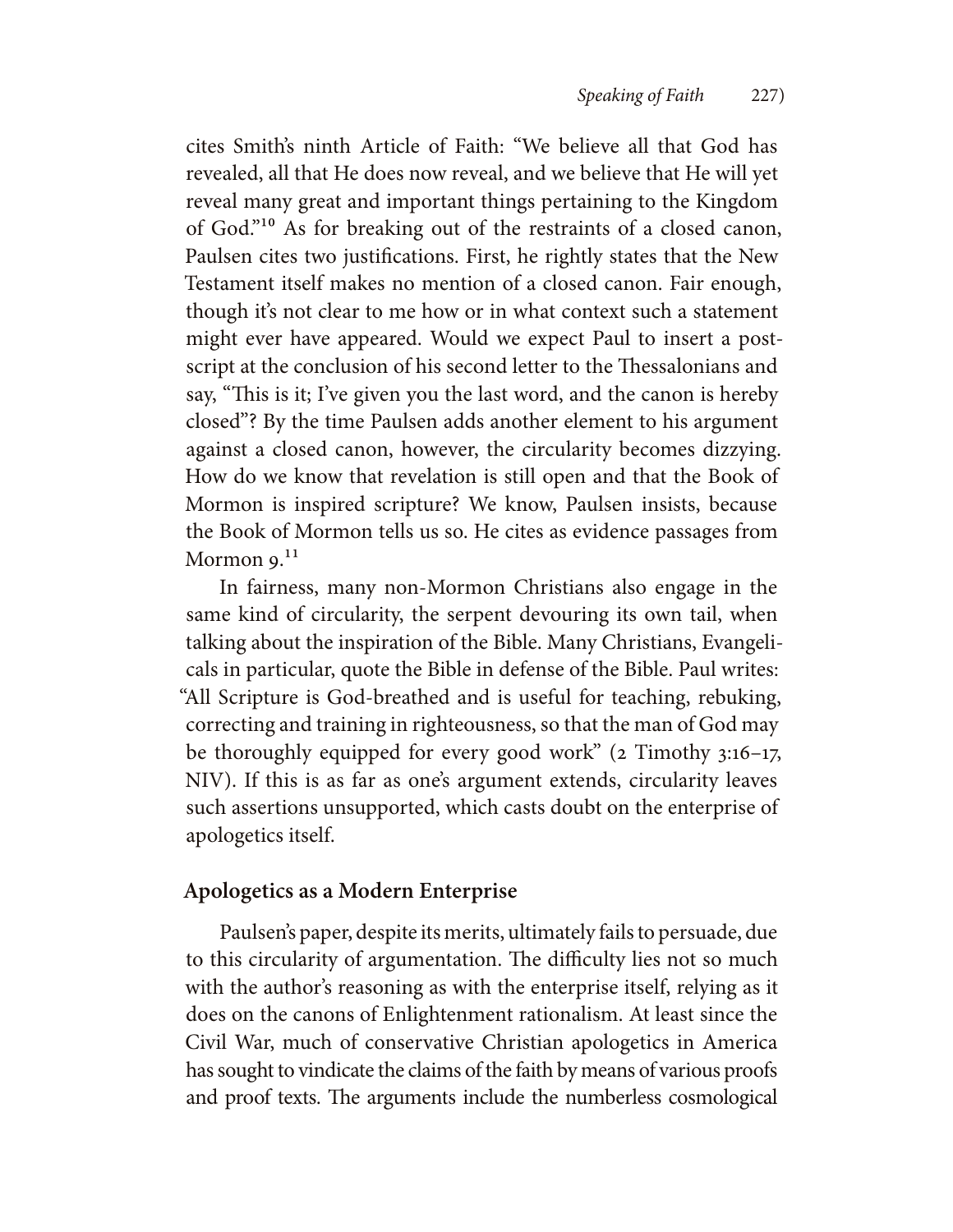cites Smith's ninth Article of Faith: "We believe all that God has revealed, all that He does now reveal, and we believe that He will yet reveal many great and important things pertaining to the Kingdom of God."<sup>10</sup> As for breaking out of the restraints of a closed canon, Paulsen cites two justifications. First, he rightly states that the New Testament itself makes no mention of a closed canon. Fair enough, though it's not clear to me how or in what context such a statement might ever have appeared. Would we expect Paul to insert a postscript at the conclusion of his second letter to the Thessalonians and say, "This is it; I've given you the last word, and the canon is hereby closed"? By the time Paulsen adds another element to his argument against a closed canon, however, the circularity becomes dizzying. How do we know that revelation is still open and that the Book of Mormon is inspired scripture? We know, Paulsen insists, because the Book of Mormon tells us so. He cites as evidence passages from Mormon  $9.11$ 

In fairness, many non-Mormon Christians also engage in the same kind of circularity, the serpent devouring its own tail, when talking about the inspiration of the Bible. Many Christians, Evangelicals in particular, quote the Bible in defense of the Bible. Paul writes: "All Scripture is God-breathed and is useful for teaching, rebuking, correcting and training in righteousness, so that the man of God may be thoroughly equipped for every good work"  $(2$  Timothy  $3:16-17$ , NIV). If this is as far as one's argument extends, circularity leaves such assertions unsupported, which casts doubt on the enterprise of apologetics itself.

### Apologetics as a Modern Enterprise

Paulsen's paper, despite its merits, ultimately fails to persuade, due to this circularity of argumentation. The difficulty lies not so much with the author's reasoning as with the enterprise itself, relying as it does on the canons of Enlightenment rationalism. At least since the Civil War, much of conservative Christian apologetics in America has sought to vindicate the claims of the faith by means of various proofs and proof texts. The arguments include the numberless cosmological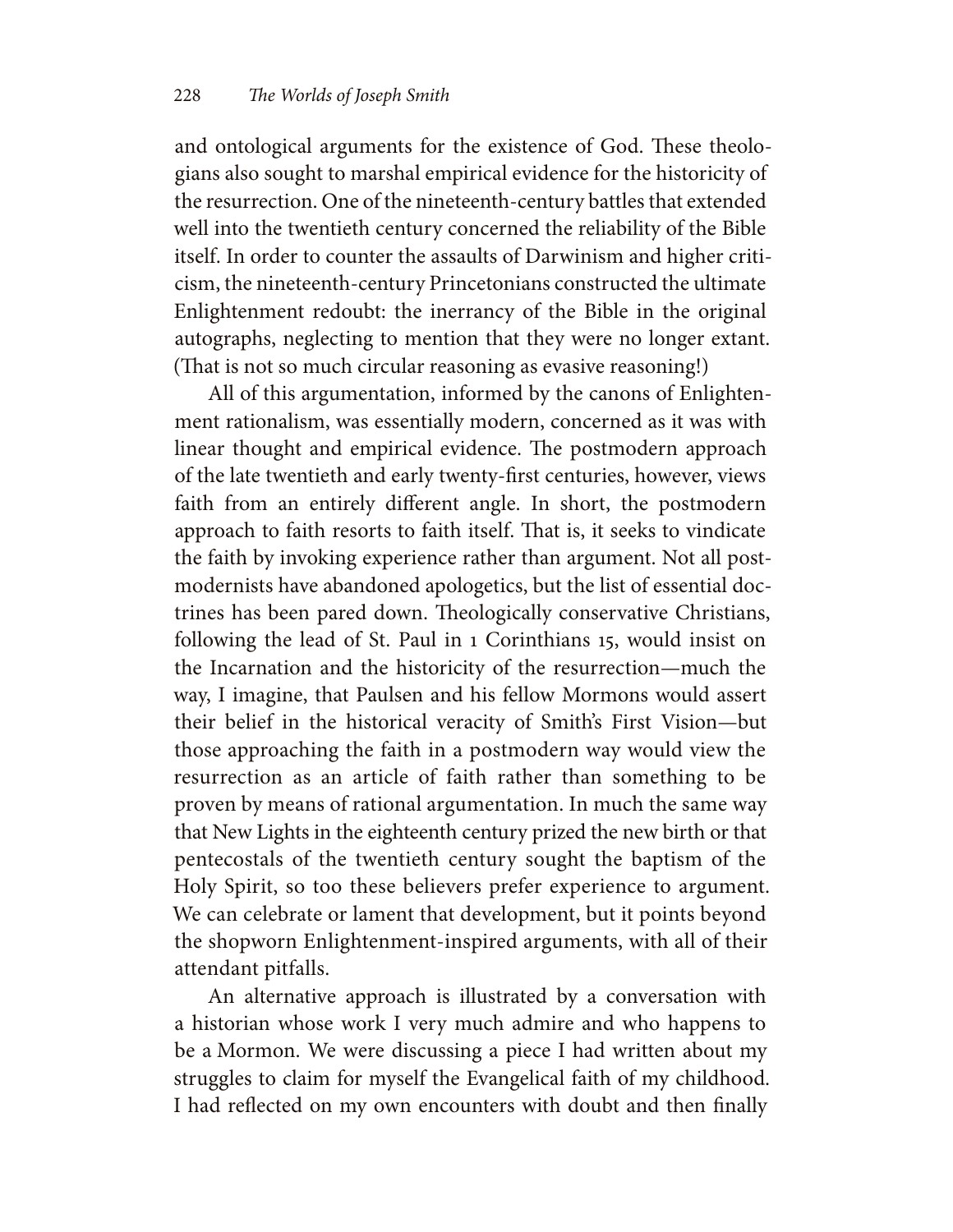and ontological arguments for the existence of God. These theologians also sought to marshal empirical evidence for the historicity of the resurrection. One of the nineteenth-century battles that extended well into the twentieth century concerned the reliability of the Bible itself. In order to counter the assaults of Darwinism and higher criticism, the nineteenth-century Princetonians constructed the ultimate Enlightenment redoubt: the inerrancy of the Bible in the original autographs, neglecting to mention that they were no longer extant. (That is not so much circular reasoning as evasive reasoning!)

All of this argumentation, informed by the canons of Enlightenment rationalism, was essentially modern, concerned as it was with linear thought and empirical evidence. The postmodern approach of the late twentieth and early twenty-first centuries, however, views faith from an entirely different angle. In short, the postmodern approach to faith resorts to faith itself. That is, it seeks to vindicate the faith by invoking experience rather than argument. Not all postmodernists have abandoned apologetics, but the list of essential doctrines has been pared down. Theologically conservative Christians, following the lead of St. Paul in 1 Corinthians 15, would insist on the Incarnation and the historicity of the resurrection—much the way, I imagine, that Paulsen and his fellow Mormons would assert their belief in the historical veracity of Smith's First Vision—but those approaching the faith in a postmodern way would view the resurrection as an article of faith rather than something to be proven by means of rational argumentation. In much the same way that New Lights in the eighteenth century prized the new birth or that pentecostals of the twentieth century sought the baptism of the Holy Spirit, so too these believers prefer experience to argument. We can celebrate or lament that development, but it points beyond the shopworn Enlightenment-inspired arguments, with all of their attendant pitfalls.

An alternative approach is illustrated by a conversation with a historian whose work I very much admire and who happens to be a Mormon. We were discussing a piece I had written about my struggles to claim for myself the Evangelical faith of my childhood. I had reflected on my own encounters with doubt and then finally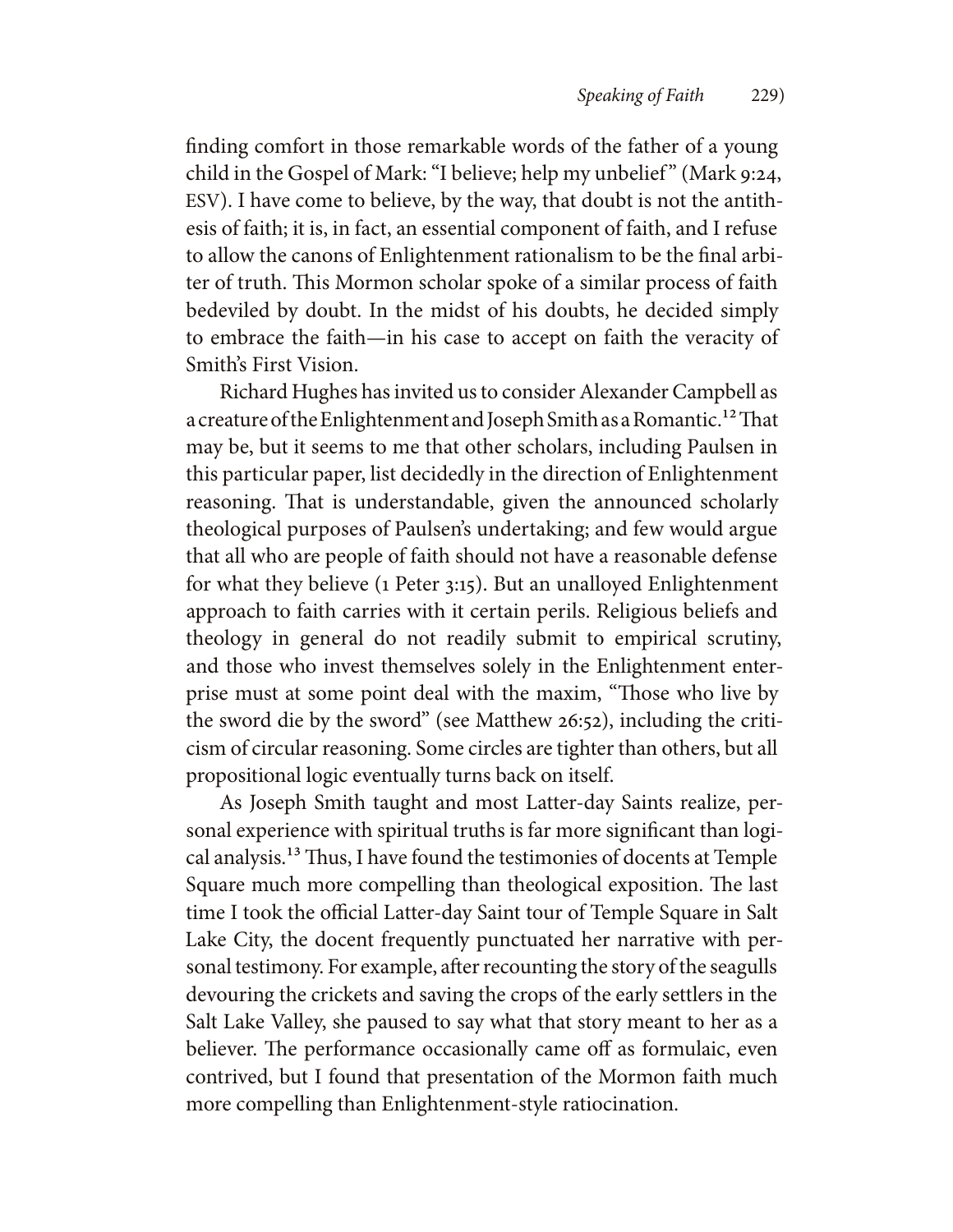finding comfort in those remarkable words of the father of a young child in the Gospel of Mark: "I believe; help my unbelief" (Mark 9:24, ESV). I have come to believe, by the way, that doubt is not the antithesis of faith; it is, in fact, an essential component of faith, and I refuse to allow the canons of Enlightenment rationalism to be the final arbiter of truth. This Mormon scholar spoke of a similar process of faith bedeviled by doubt. In the midst of his doubts, he decided simply to embrace the faith—in his case to accept on faith the veracity of Smith's First Vision.

Richard Hughes has invited us to consider Alexander Campbell as a creature of the Enlightenment and Joseph Smith as a Romantic.<sup>12</sup> That may be, but it seems to me that other scholars, including Paulsen in this particular paper, list decidedly in the direction of Enlightenment reasoning. That is understandable, given the announced scholarly theological purposes of Paulsen's undertaking; and few would argue that all who are people of faith should not have a reasonable defense for what they believe (1 Peter 3:15). But an unalloyed Enlightenment approach to faith carries with it certain perils. Religious beliefs and theology in general do not readily submit to empirical scrutiny, and those who invest themselves solely in the Enlightenment enterprise must at some point deal with the maxim, "Those who live by the sword die by the sword" (see Matthew 26:52), including the criticism of circular reasoning. Some circles are tighter than others, but all propositional logic eventually turns back on itself.

As Joseph Smith taught and most Latter-day Saints realize, personal experience with spiritual truths is far more significant than logical analysis.<sup>13</sup> Thus, I have found the testimonies of docents at Temple Square much more compelling than theological exposition. The last time I took the official Latter-day Saint tour of Temple Square in Salt Lake City, the docent frequently punctuated her narrative with personal testimony. For example, after recounting the story of the seagulls devouring the crickets and saving the crops of the early settlers in the Salt Lake Valley, she paused to say what that story meant to her as a believer. The performance occasionally came off as formulaic, even contrived, but I found that presentation of the Mormon faith much more compelling than Enlightenment-style ratiocination.